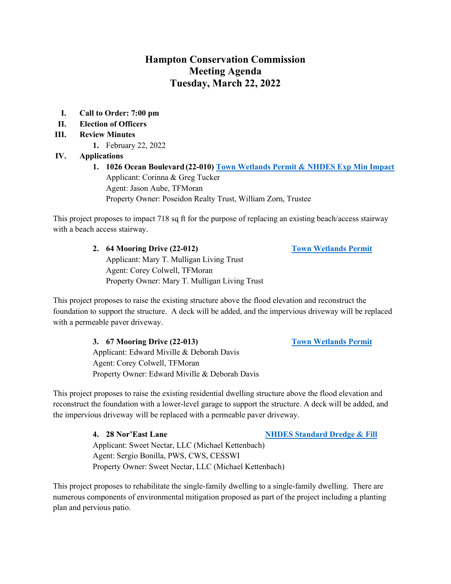## **Hampton Conservation Commission Meeting Agenda Tuesday, March 22, 2022**

- **I. Call to Order: 7:00 pm**
- **II. Election of Officers**
- **III. Review Minutes** 
	- **1.** February 22, 2022

#### **IV. Applications**

**1. 1026 Ocean Boulevard (22-010) [Town Wetlands Permit](https://www.hamptonnh.gov/DocumentCenter/View/5043/1026-ocean-BLVD-wetlands-app-combined) [& NHDES Exp Min Impact](https://www.hamptonnh.gov/DocumentCenter/View/5044/complete-NHDES-wetlands-permit-application)**  Applicant: Corinna & Greg Tucker Agent: Jason Aube, TFMoran Property Owner: Poseidon Realty Trust, William Zorn, Trustee

This project proposes to impact 718 sq ft for the purpose of replacing an existing beach/access stairway with a beach access stairway.

> **2. 64 Mooring Drive (22-012) [Town Wetlands Permit](https://www.hamptonnh.gov/DocumentCenter/View/5158/64-mooring-dr-2022-town-wetlands-app)** Applicant: Mary T. Mulligan Living Trust Agent: Corey Colwell, TFMoran Property Owner: Mary T. Mulligan Living Trust

This project proposes to raise the existing structure above the flood elevation and reconstruct the foundation to support the structure. A deck will be added, and the impervious driveway will be replaced with a permeable paver driveway.

> **3. 67 Mooring Drive (22-013) [Town Wetlands Permit](https://www.hamptonnh.gov/DocumentCenter/View/5157/67-mooring-dr-2022-town-wetlands-app)** Applicant: Edward Miville & Deborah Davis Agent: Corey Colwell, TFMoran Property Owner: Edward Miville & Deborah Davis

This project proposes to raise the existing residential dwelling structure above the flood elevation and reconstruct the foundation with a lower-level garage to support the structure. A deck will be added, and the impervious driveway will be replaced with a permeable paver driveway.

**4. 28 Nor'East Lane [NHDES Sta](https://www.hamptonnh.gov/DocumentCenter/View/5160/28-noreast-ln-nhdes-min-exp-Hampton-Final-WB-app-package-2022)ndard Dredge & Fill**

Applicant: Sweet Nectar, LLC (Michael Kettenbach) Agent: Sergio Bonilla, PWS, CWS, CESSWI Property Owner: Sweet Nectar, LLC (Michael Kettenbach)

This project proposes to rehabilitate the single-family dwelling to a single-family dwelling. There are numerous components of environmental mitigation proposed as part of the project including a planting plan and pervious patio.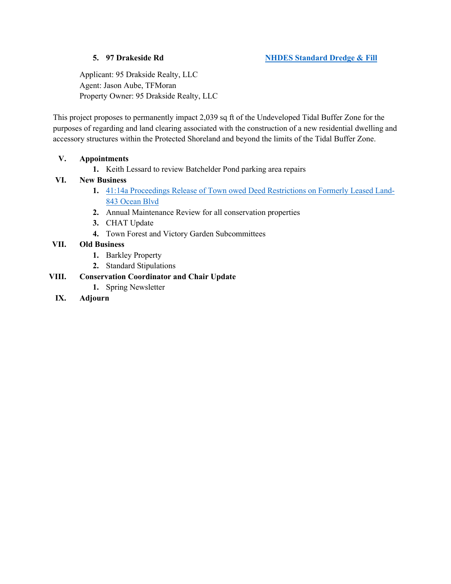Applicant: 95 Drakside Realty, LLC Agent: Jason Aube, TFMoran Property Owner: 95 Drakside Realty, LLC

This project proposes to permanently impact 2,039 sq ft of the Undeveloped Tidal Buffer Zone for the purposes of regarding and land clearing associated with the construction of a new residential dwelling and accessory structures within the Protected Shoreland and beyond the limits of the Tidal Buffer Zone.

### **V. Appointments**

**1.** Keith Lessard to review Batchelder Pond parking area repairs

#### **VI. New Business**

- **1.** [41:14a Proceedings Release of Town owed Deed Restrictions on Formerly Leased Land-](https://www.hamptonnh.gov/DocumentCenter/View/5159/843-4114a-2022)[843 Ocean Blvd](https://www.hamptonnh.gov/DocumentCenter/View/5159/843-4114a-2022)
- **2.** Annual Maintenance Review for all conservation properties
- **3.** CHAT Update
- **4.** Town Forest and Victory Garden Subcommittees

### **VII. Old Business**

- **1.** Barkley Property
- **2.** Standard Stipulations

### **VIII. Conservation Coordinator and Chair Update**

- **1.** Spring Newsletter
- **IX. Adjourn**